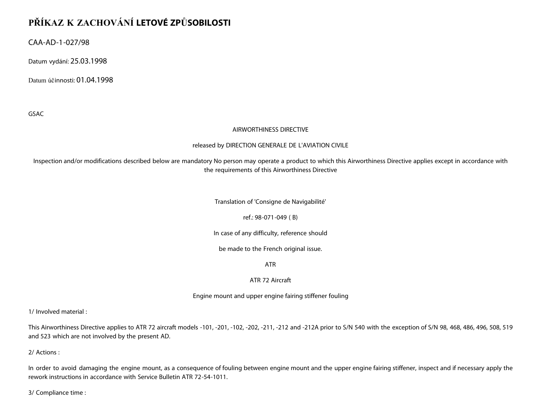# **PŘÍKAZ K ZACHOVÁNÍ LETOVÉ ZPŮSOBILOSTI**

CAA-AD-1-027/98

Datum vydání: 25.03.1998

Datum účinnosti: 01.04.1998

GSAC

#### AIRWORTHINESS DIRECTIVE

#### released by DIRECTION GENERALE DE L'AVIATION CIVILE

Inspection and/or modifications described below are mandatory No person may operate a product to which this Airworthiness Directive applies except in accordance with the requirements of this Airworthiness Directive

Translation of 'Consigne de Navigabilité'

ref.: 98-071-049 ( B)

In case of any difficulty, reference should

be made to the French original issue.

ATR

#### ATR 72 Aircraft

Engine mount and upper engine fairing stiffener fouling

1/ Involved material :

This Airworthiness Directive applies to ATR 72 aircraft models -101, -201, -102, -202, -211, -212 and -212A prior to S/N 540 with the exception of S/N 98, 468, 486, 496, 508, 519 and 523 which are not involved by the present AD.

2/ Actions :

In order to avoid damaging the engine mount, as a consequence of fouling between engine mount and the upper engine fairing stiffener, inspect and if necessary apply the rework instructions in accordance with Service Bulletin ATR 72-54-1011.

3/ Compliance time :